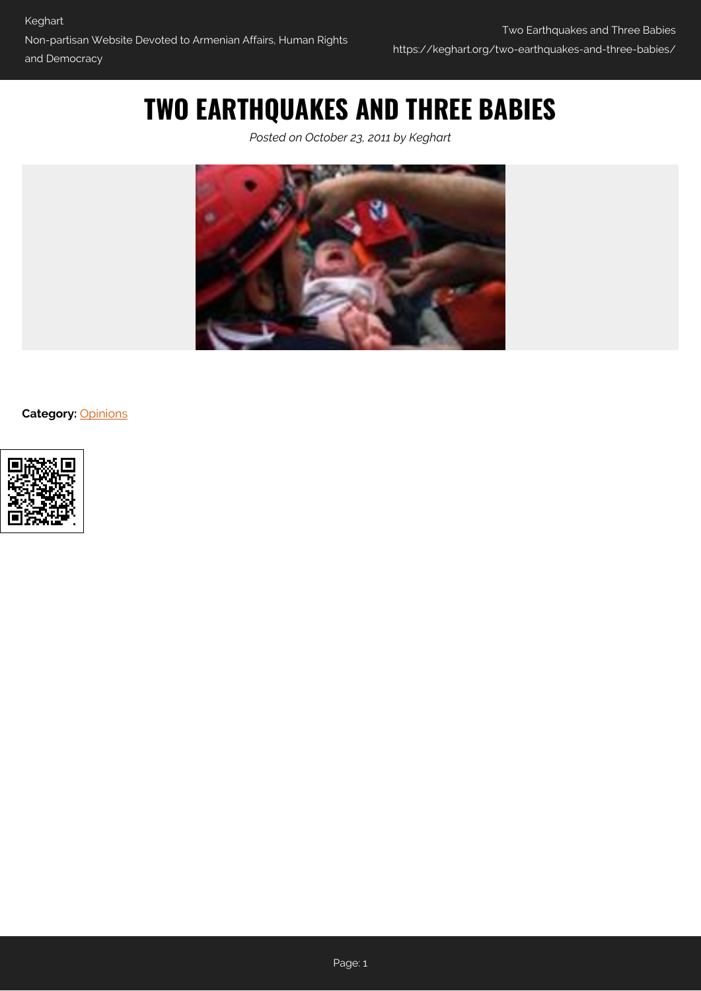## **TWO EARTHQUAKES AND THREE BABIES**

*Posted on October 23, 2011 by Keghart*



**Category:** [Opinions](https://keghart.org/category/opinions/)

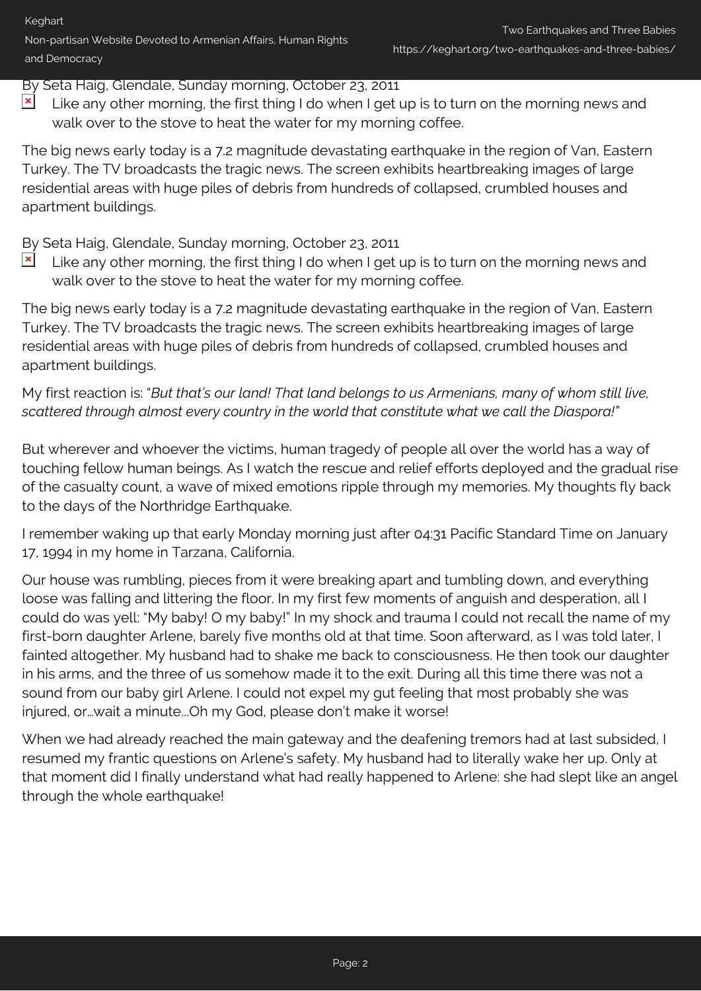## By Seta Haig, Glendale, Sunday morning, October 23, 2011

 $\pmb{\times}$ Like any other morning, the first thing I do when I get up is to turn on the morning news and walk over to the stove to heat the water for my morning coffee.

The big news early today is a 7.2 magnitude devastating earthquake in the region of Van, Eastern Turkey. The TV broadcasts the tragic news. The screen exhibits heartbreaking images of large residential areas with huge piles of debris from hundreds of collapsed, crumbled houses and apartment buildings.

By Seta Haig, Glendale, Sunday morning, October 23, 2011

 $\pmb{\times}$ Like any other morning, the first thing I do when I get up is to turn on the morning news and walk over to the stove to heat the water for my morning coffee.

The big news early today is a 7.2 magnitude devastating earthquake in the region of Van, Eastern Turkey. The TV broadcasts the tragic news. The screen exhibits heartbreaking images of large residential areas with huge piles of debris from hundreds of collapsed, crumbled houses and apartment buildings.

My first reaction is: "*But that's our land! That land belongs to us Armenians, many of whom still live, scattered through almost every country in the world that constitute what we call the Diaspora!"*

But wherever and whoever the victims, human tragedy of people all over the world has a way of touching fellow human beings. As I watch the rescue and relief efforts deployed and the gradual rise of the casualty count, a wave of mixed emotions ripple through my memories. My thoughts fly back to the days of the Northridge Earthquake.

I remember waking up that early Monday morning just after 04:31 Pacific Standard Time on January 17, 1994 in my home in Tarzana, California.

Our house was rumbling, pieces from it were breaking apart and tumbling down, and everything loose was falling and littering the floor. In my first few moments of anguish and desperation, all I could do was yell: "My baby! O my baby!" In my shock and trauma I could not recall the name of my first-born daughter Arlene, barely five months old at that time. Soon afterward, as I was told later, I fainted altogether. My husband had to shake me back to consciousness. He then took our daughter in his arms, and the three of us somehow made it to the exit. During all this time there was not a sound from our baby girl Arlene. I could not expel my gut feeling that most probably she was injured, or…wait a minute...Oh my God, please don't make it worse!

When we had already reached the main gateway and the deafening tremors had at last subsided, I resumed my frantic questions on Arlene's safety. My husband had to literally wake her up. Only at that moment did I finally understand what had really happened to Arlene: she had slept like an angel through the whole earthquake!